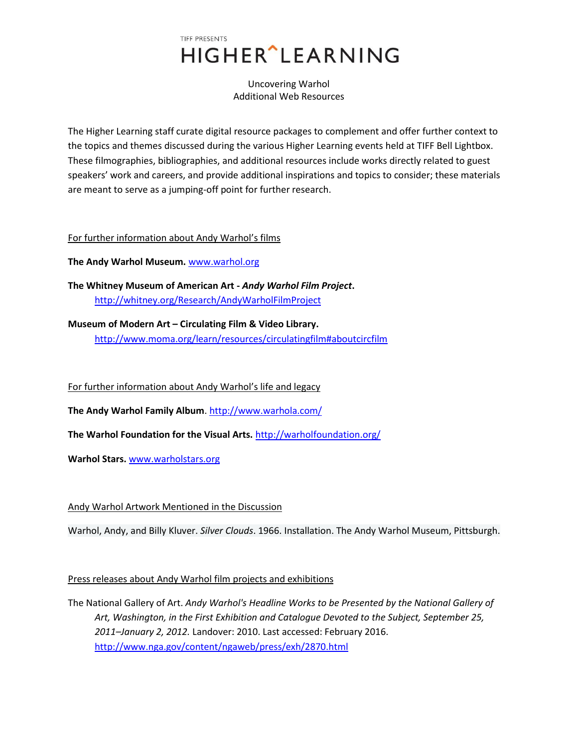# TIFF PRESENTS **HIGHER** LEARNING

Uncovering Warhol Additional Web Resources

The Higher Learning staff curate digital resource packages to complement and offer further context to the topics and themes discussed during the various Higher Learning events held at TIFF Bell Lightbox. These filmographies, bibliographies, and additional resources include works directly related to guest speakers' work and careers, and provide additional inspirations and topics to consider; these materials are meant to serve as a jumping-off point for further research.

#### For further information about Andy Warhol's films

**The Andy Warhol Museum.** [www.warhol.org](http://www.warhol.org/)

**The Whitney Museum of American Art -** *Andy Warhol Film Project***.** <http://whitney.org/Research/AndyWarholFilmProject>

### **Museum of Modern Art – Circulating Film & Video Library.**

<http://www.moma.org/learn/resources/circulatingfilm#aboutcircfilm>

For further information about Andy Warhol's life and legacy

**The Andy Warhol Family Album**.<http://www.warhola.com/>

**The Warhol Foundation for the Visual Arts.** <http://warholfoundation.org/>

**Warhol Stars.** [www.warholstars.org](http://www.warholstars.org/)

### Andy Warhol Artwork Mentioned in the Discussion

Warhol, Andy, and Billy Kluver. *Silver Clouds*. 1966. Installation. The Andy Warhol Museum, Pittsburgh.

### Press releases about Andy Warhol film projects and exhibitions

The National Gallery of Art. *Andy Warhol's Headline Works to be Presented by the National Gallery of Art, Washington, in the First Exhibition and Catalogue Devoted to the Subject, September 25, 2011–January 2, 2012.* Landover: 2010. Last accessed: February 2016. <http://www.nga.gov/content/ngaweb/press/exh/2870.html>